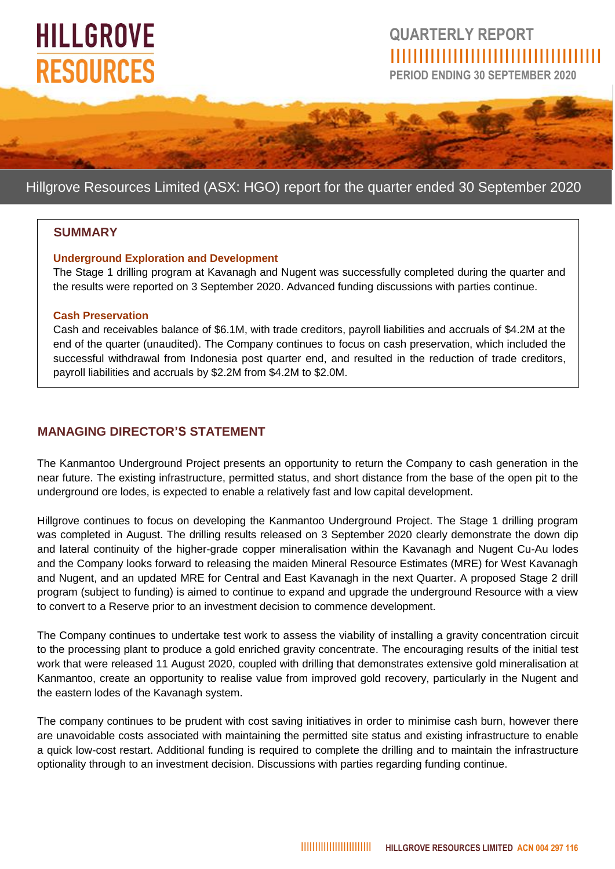# **HILLGROVE RESOURCES**

## **QUARTERLY REPORT** IIIIIIIIIIIIIIIIIIIIIIIIIIIIIIIIIIIII

**PERIOD ENDING 30 SEPTEMBER 2020**

### Hillgrove Resources Limited (ASX: HGO) report for the quarter ended 30 September 2020

#### **SUMMARY**

#### **Underground Exploration and Development**

The Stage 1 drilling program at Kavanagh and Nugent was successfully completed during the quarter and the results were reported on 3 September 2020. Advanced funding discussions with parties continue.

#### **Cash Preservation**

Cash and receivables balance of \$6.1M, with trade creditors, payroll liabilities and accruals of \$4.2M at the end of the quarter (unaudited). The Company continues to focus on cash preservation, which included the successful withdrawal from Indonesia post quarter end, and resulted in the reduction of trade creditors, payroll liabilities and accruals by \$2.2M from \$4.2M to \$2.0M.

#### **MANAGING DIRECTOR'S STATEMENT**

The Kanmantoo Underground Project presents an opportunity to return the Company to cash generation in the near future. The existing infrastructure, permitted status, and short distance from the base of the open pit to the underground ore lodes, is expected to enable a relatively fast and low capital development.

Hillgrove continues to focus on developing the Kanmantoo Underground Project. The Stage 1 drilling program was completed in August. The drilling results released on 3 September 2020 clearly demonstrate the down dip and lateral continuity of the higher-grade copper mineralisation within the Kavanagh and Nugent Cu-Au lodes and the Company looks forward to releasing the maiden Mineral Resource Estimates (MRE) for West Kavanagh and Nugent, and an updated MRE for Central and East Kavanagh in the next Quarter. A proposed Stage 2 drill program (subject to funding) is aimed to continue to expand and upgrade the underground Resource with a view to convert to a Reserve prior to an investment decision to commence development.

The Company continues to undertake test work to assess the viability of installing a gravity concentration circuit to the processing plant to produce a gold enriched gravity concentrate. The encouraging results of the initial test work that were released 11 August 2020, coupled with drilling that demonstrates extensive gold mineralisation at Kanmantoo, create an opportunity to realise value from improved gold recovery, particularly in the Nugent and the eastern lodes of the Kavanagh system.

The company continues to be prudent with cost saving initiatives in order to minimise cash burn, however there are unavoidable costs associated with maintaining the permitted site status and existing infrastructure to enable a quick low-cost restart. Additional funding is required to complete the drilling and to maintain the infrastructure optionality through to an investment decision. Discussions with parties regarding funding continue.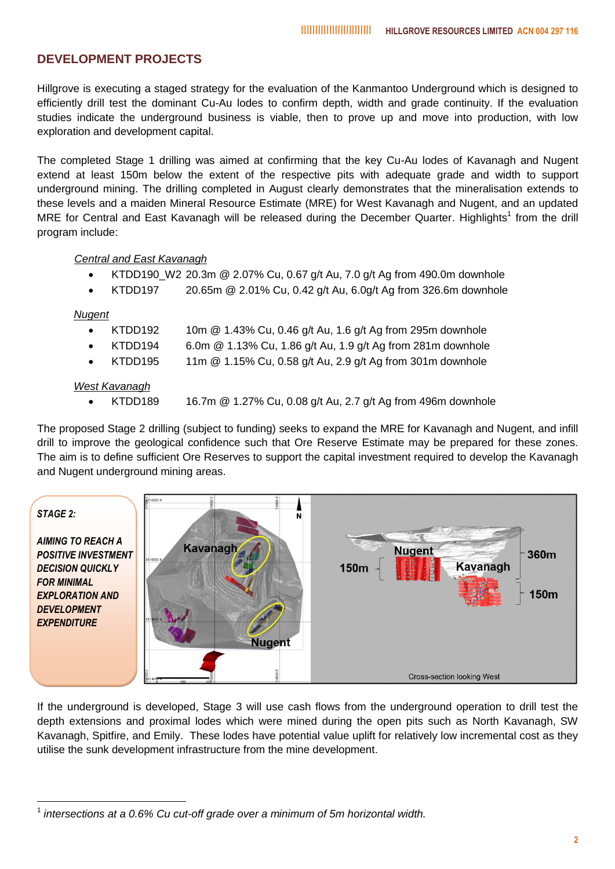#### **DEVELOPMENT PROJECTS**

Hillgrove is executing a staged strategy for the evaluation of the Kanmantoo Underground which is designed to efficiently drill test the dominant Cu-Au lodes to confirm depth, width and grade continuity. If the evaluation studies indicate the underground business is viable, then to prove up and move into production, with low exploration and development capital.

The completed Stage 1 drilling was aimed at confirming that the key Cu-Au lodes of Kavanagh and Nugent extend at least 150m below the extent of the respective pits with adequate grade and width to support underground mining. The drilling completed in August clearly demonstrates that the mineralisation extends to these levels and a maiden Mineral Resource Estimate (MRE) for West Kavanagh and Nugent, and an updated MRE for Central and East Kavanagh will be released during the December Quarter. Highlights<sup>1</sup> from the drill program include:

#### *Central and East Kavanagh*

- KTDD190\_W2 20.3m @ 2.07% Cu, 0.67 g/t Au, 7.0 g/t Ag from 490.0m downhole
- KTDD197 20.65m @ 2.01% Cu, 0.42 g/t Au, 6.0g/t Ag from 326.6m downhole

#### *Nugent*

1

- KTDD192 10m  $@$  1.43% Cu, 0.46 g/t Au, 1.6 g/t Ag from 295m downhole
- KTDD194 6.0m @ 1.13% Cu, 1.86 g/t Au, 1.9 g/t Ag from 281m downhole
- KTDD195 11m @ 1.15% Cu, 0.58 g/t Au, 2.9 g/t Ag from 301m downhole

#### *West Kavanagh*

KTDD189 16.7m @ 1.27% Cu, 0.08 g/t Au, 2.7 g/t Ag from 496m downhole

The proposed Stage 2 drilling (subject to funding) seeks to expand the MRE for Kavanagh and Nugent, and infill drill to improve the geological confidence such that Ore Reserve Estimate may be prepared for these zones. The aim is to define sufficient Ore Reserves to support the capital investment required to develop the Kavanagh and Nugent underground mining areas.



If the underground is developed, Stage 3 will use cash flows from the underground operation to drill test the depth extensions and proximal lodes which were mined during the open pits such as North Kavanagh, SW Kavanagh, Spitfire, and Emily. These lodes have potential value uplift for relatively low incremental cost as they utilise the sunk development infrastructure from the mine development.

<sup>&</sup>lt;sup>1</sup> intersections at a 0.6% Cu cut-off grade over a minimum of 5m horizontal width.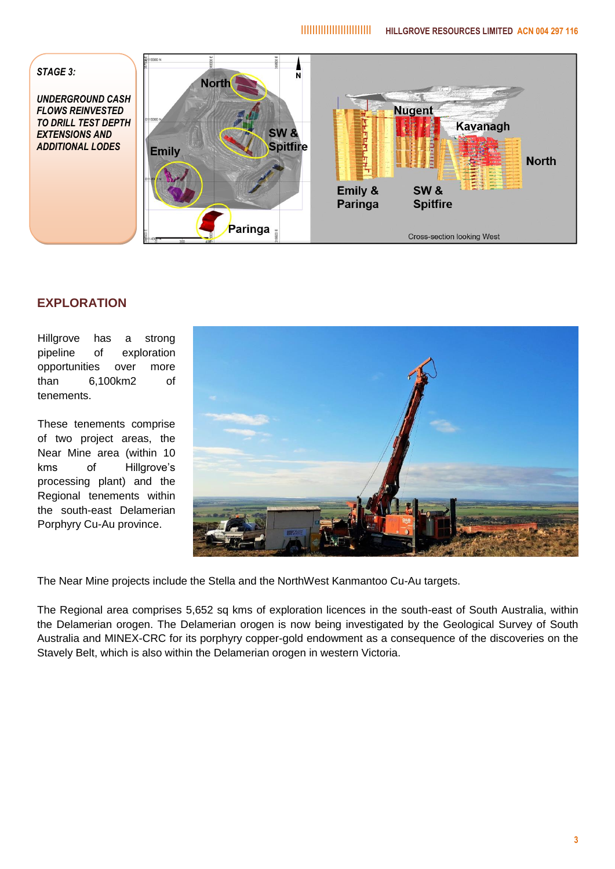

#### **EXPLORATION**

Hillgrove has a strong pipeline of exploration opportunities over more than 6,100km2 of tenements.

These tenements comprise of two project areas, the Near Mine area (within 10 kms of Hillgrove's processing plant) and the Regional tenements within the south-east Delamerian Porphyry Cu-Au province.



The Near Mine projects include the Stella and the NorthWest Kanmantoo Cu-Au targets.

The Regional area comprises 5,652 sq kms of exploration licences in the south-east of South Australia, within the Delamerian orogen. The Delamerian orogen is now being investigated by the Geological Survey of South Australia and MINEX-CRC for its porphyry copper-gold endowment as a consequence of the discoveries on the Stavely Belt, which is also within the Delamerian orogen in western Victoria.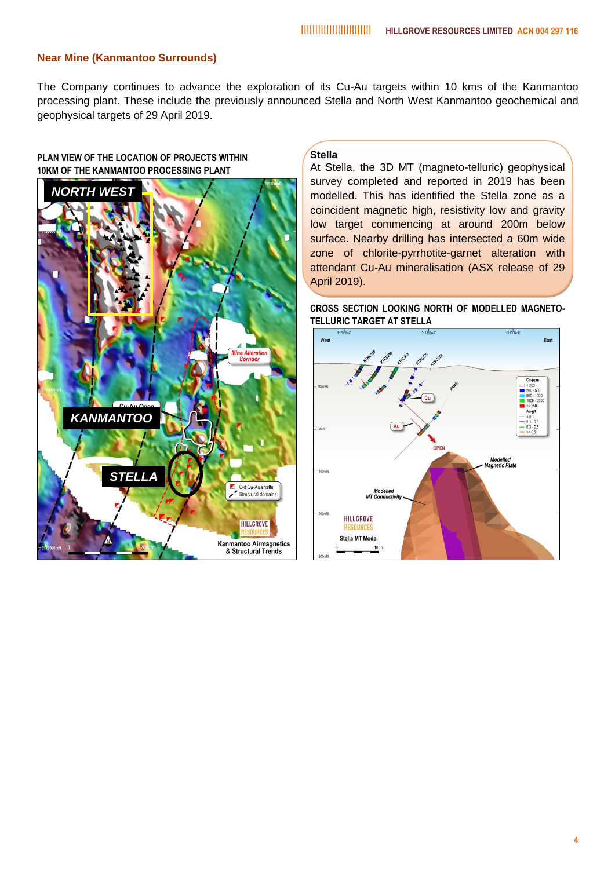#### **Near Mine (Kanmantoo Surrounds)**

The Company continues to advance the exploration of its Cu-Au targets within 10 kms of the Kanmantoo processing plant. These include the previously announced Stella and North West Kanmantoo geochemical and geophysical targets of 29 April 2019.

#### **PLAN VIEW OF THE LOCATION OF PROJECTS WITHIN 10KM OF THE KANMANTOO PROCESSING PLANT**



#### **Stella**

At Stella, the 3D MT (magneto-telluric) geophysical survey completed and reported in 2019 has been modelled. This has identified the Stella zone as a coincident magnetic high, resistivity low and gravity low target commencing at around 200m below surface. Nearby drilling has intersected a 60m wide zone of chlorite-pyrrhotite-garnet alteration with attendant Cu-Au mineralisation (ASX release of 29 April 2019).

**CROSS SECTION LOOKING NORTH OF MODELLED MAGNETO-TELLURIC TARGET AT STELLA**

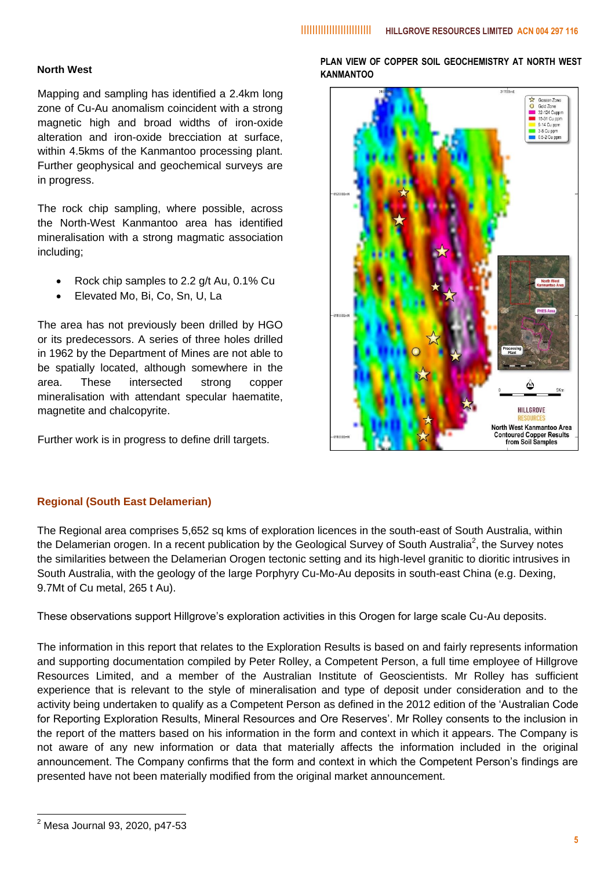#### **North West**

Mapping and sampling has identified a 2.4km long zone of Cu-Au anomalism coincident with a strong magnetic high and broad widths of iron-oxide alteration and iron-oxide brecciation at surface, within 4.5kms of the Kanmantoo processing plant. Further geophysical and geochemical surveys are in progress.

The rock chip sampling, where possible, across the North-West Kanmantoo area has identified mineralisation with a strong magmatic association including;

- Rock chip samples to 2.2 g/t Au, 0.1% Cu
- Elevated Mo, Bi, Co, Sn, U, La

The area has not previously been drilled by HGO or its predecessors. A series of three holes drilled in 1962 by the Department of Mines are not able to be spatially located, although somewhere in the area. These intersected strong copper mineralisation with attendant specular haematite, magnetite and chalcopyrite.

Further work is in progress to define drill targets.

**PLAN VIEW OF COPPER SOIL GEOCHEMISTRY AT NORTH WEST KANMANTOO**



#### **Regional (South East Delamerian)**

The Regional area comprises 5,652 sq kms of exploration licences in the south-east of South Australia, within the Delamerian orogen. In a recent publication by the Geological Survey of South Australia<sup>2</sup>, the Survey notes the similarities between the Delamerian Orogen tectonic setting and its high-level granitic to dioritic intrusives in South Australia, with the geology of the large Porphyry Cu-Mo-Au deposits in south-east China (e.g. Dexing, 9.7Mt of Cu metal, 265 t Au).

These observations support Hillgrove's exploration activities in this Orogen for large scale Cu-Au deposits.

The information in this report that relates to the Exploration Results is based on and fairly represents information and supporting documentation compiled by Peter Rolley, a Competent Person, a full time employee of Hillgrove Resources Limited, and a member of the Australian Institute of Geoscientists. Mr Rolley has sufficient experience that is relevant to the style of mineralisation and type of deposit under consideration and to the activity being undertaken to qualify as a Competent Person as defined in the 2012 edition of the 'Australian Code for Reporting Exploration Results, Mineral Resources and Ore Reserves'. Mr Rolley consents to the inclusion in the report of the matters based on his information in the form and context in which it appears. The Company is not aware of any new information or data that materially affects the information included in the original announcement. The Company confirms that the form and context in which the Competent Person's findings are presented have not been materially modified from the original market announcement.

1

 $^{2}$  Mesa Journal 93, 2020, p47-53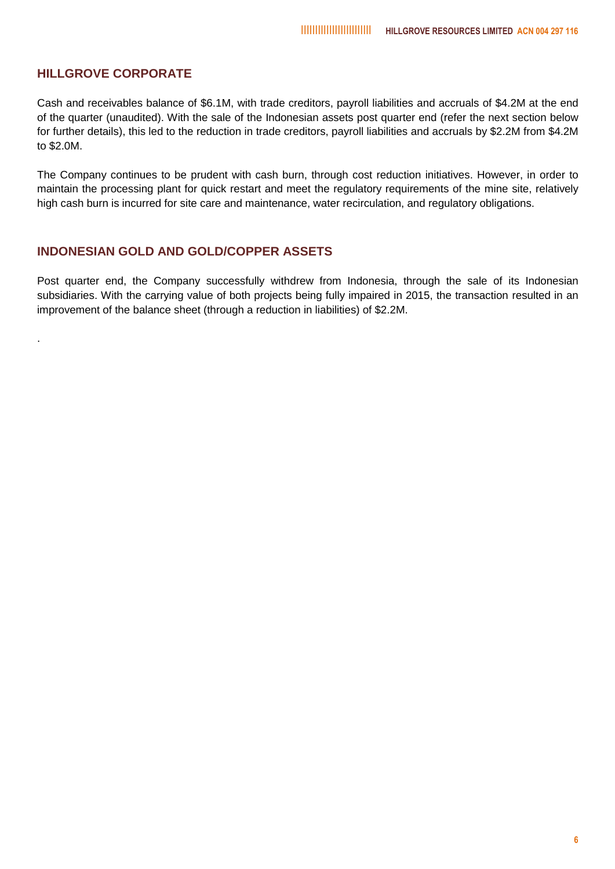#### **HILLGROVE CORPORATE**

.

Cash and receivables balance of \$6.1M, with trade creditors, payroll liabilities and accruals of \$4.2M at the end of the quarter (unaudited). With the sale of the Indonesian assets post quarter end (refer the next section below for further details), this led to the reduction in trade creditors, payroll liabilities and accruals by \$2.2M from \$4.2M to \$2.0M.

The Company continues to be prudent with cash burn, through cost reduction initiatives. However, in order to maintain the processing plant for quick restart and meet the regulatory requirements of the mine site, relatively high cash burn is incurred for site care and maintenance, water recirculation, and regulatory obligations.

#### **INDONESIAN GOLD AND GOLD/COPPER ASSETS**

Post quarter end, the Company successfully withdrew from Indonesia, through the sale of its Indonesian subsidiaries. With the carrying value of both projects being fully impaired in 2015, the transaction resulted in an improvement of the balance sheet (through a reduction in liabilities) of \$2.2M.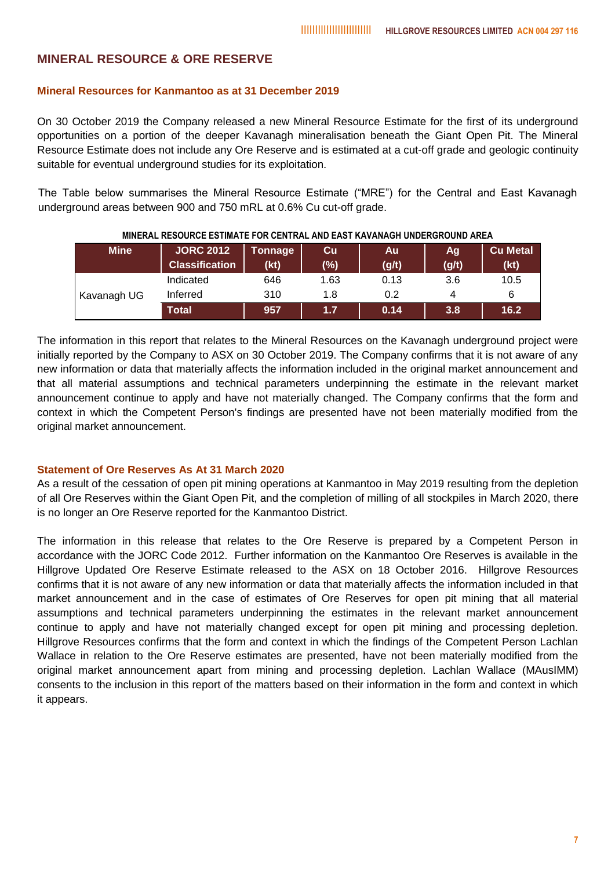#### **MINERAL RESOURCE & ORE RESERVE**

#### **Mineral Resources for Kanmantoo as at 31 December 2019**

On 30 October 2019 the Company released a new Mineral Resource Estimate for the first of its underground opportunities on a portion of the deeper Kavanagh mineralisation beneath the Giant Open Pit. The Mineral Resource Estimate does not include any Ore Reserve and is estimated at a cut-off grade and geologic continuity suitable for eventual underground studies for its exploitation.

The Table below summarises the Mineral Resource Estimate ("MRE") for the Central and East Kavanagh underground areas between 900 and 750 mRL at 0.6% Cu cut-off grade.

| <b>Mine</b> | <b>JORC 2012</b><br><b>Classification</b> | Tonnage<br>(kt) | Cu<br>(%) | Au<br>(g/t) | Ag<br>(g/t) | <b>Cu Metal</b><br>(kt) |  |
|-------------|-------------------------------------------|-----------------|-----------|-------------|-------------|-------------------------|--|
| Kavanagh UG | Indicated                                 | 646             | 1.63      | 0.13        | 3.6         | 10.5                    |  |
|             | Inferred                                  | 310             | 1.8       | 0.2         | 4           | 6                       |  |
|             | Total                                     | 957             | 1.7       | 0.14        | 3.8         | 16.2                    |  |

**MINERAL RESOURCE ESTIMATE FOR CENTRAL AND EAST KAVANAGH UNDERGROUND AREA**

The information in this report that relates to the Mineral Resources on the Kavanagh underground project were initially reported by the Company to ASX on 30 October 2019. The Company confirms that it is not aware of any new information or data that materially affects the information included in the original market announcement and that all material assumptions and technical parameters underpinning the estimate in the relevant market announcement continue to apply and have not materially changed. The Company confirms that the form and context in which the Competent Person's findings are presented have not been materially modified from the original market announcement.

#### **Statement of Ore Reserves As At 31 March 2020**

As a result of the cessation of open pit mining operations at Kanmantoo in May 2019 resulting from the depletion of all Ore Reserves within the Giant Open Pit, and the completion of milling of all stockpiles in March 2020, there is no longer an Ore Reserve reported for the Kanmantoo District.

The information in this release that relates to the Ore Reserve is prepared by a Competent Person in accordance with the JORC Code 2012. Further information on the Kanmantoo Ore Reserves is available in the Hillgrove Updated Ore Reserve Estimate released to the ASX on 18 October 2016. Hillgrove Resources confirms that it is not aware of any new information or data that materially affects the information included in that market announcement and in the case of estimates of Ore Reserves for open pit mining that all material assumptions and technical parameters underpinning the estimates in the relevant market announcement continue to apply and have not materially changed except for open pit mining and processing depletion. Hillgrove Resources confirms that the form and context in which the findings of the Competent Person Lachlan Wallace in relation to the Ore Reserve estimates are presented, have not been materially modified from the original market announcement apart from mining and processing depletion. Lachlan Wallace (MAusIMM) consents to the inclusion in this report of the matters based on their information in the form and context in which it appears.